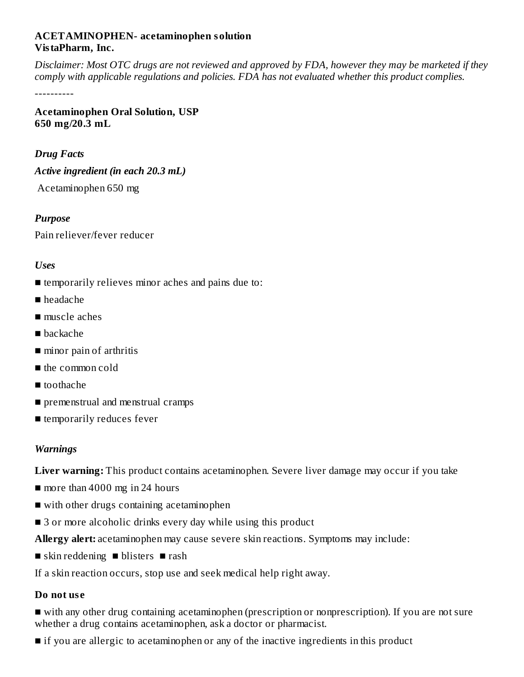# **ACETAMINOPHEN- acetaminophen solution VistaPharm, Inc.**

Disclaimer: Most OTC drugs are not reviewed and approved by FDA, however they may be marketed if they *comply with applicable regulations and policies. FDA has not evaluated whether this product complies.*

----------

**Acetaminophen Oral Solution, USP 650 mg/20.3 mL**

#### *Drug Facts*

*Active ingredient (in each 20.3 mL)*

Acetaminophen 650 mg

*Purpose*

Pain reliever/fever reducer

#### *Uses*

- temporarily relieves minor aches and pains due to:
- headache
- muscle aches
- backache
- minor pain of arthritis
- the common cold
- toothache
- premenstrual and menstrual cramps
- temporarily reduces fever

#### *Warnings*

**Liver warning:** This product contains acetaminophen. Severe liver damage may occur if you take

- more than 4000 mg in 24 hours
- with other drugs containing acetaminophen
- 3 or more alcoholic drinks every day while using this product

**Allergy alert:** acetaminophen may cause severe skin reactions. Symptoms may include:

■ skin reddening ■ blisters ■ rash

If a skin reaction occurs, stop use and seek medical help right away.

#### **Do not us e**

■ with any other drug containing acetaminophen (prescription or nonprescription). If you are not sure whether a drug contains acetaminophen, ask a doctor or pharmacist.

■ if you are allergic to acetaminophen or any of the inactive ingredients in this product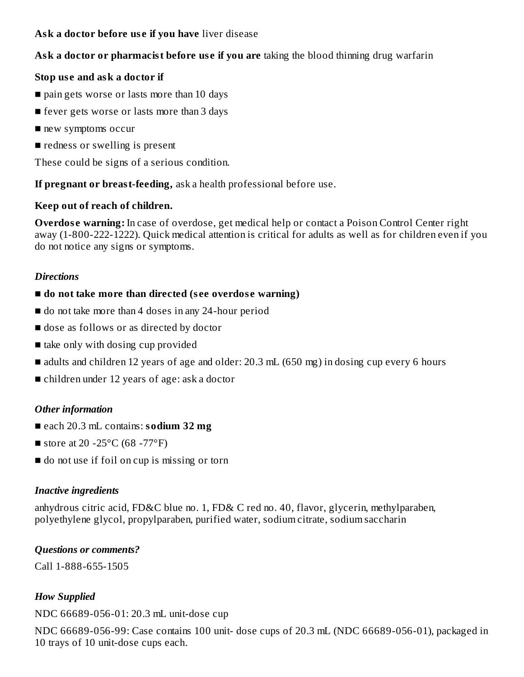# **Ask a doctor before us e if you have** liver disease

# **Ask a doctor or pharmacist before us e if you are** taking the blood thinning drug warfarin

# **Stop us e and ask a doctor if**

- pain gets worse or lasts more than 10 days
- fever gets worse or lasts more than 3 days
- new symptoms occur
- redness or swelling is present

These could be signs of a serious condition.

**If pregnant or breast-feeding,** ask a health professional before use.

#### **Keep out of reach of children.**

**Overdose warning:** In case of overdose, get medical help or contact a Poison Control Center right away (1-800-222-1222). Quick medical attention is critical for adults as well as for children even if you do not notice any signs or symptoms.

#### *Directions*

- **do not take more than directed (s ee overdos e warning)**
- do not take more than 4 doses in any 24-hour period
- dose as follows or as directed by doctor
- take only with dosing cup provided
- adults and children 12 years of age and older: 20.3 mL (650 mg) in dosing cup every 6 hours
- children under 12 years of age: ask a doctor

# *Other information*

- each 20.3 mL contains: **sodium 32 mg**
- store at 20 -25 $\rm{^{\circ}C}$  (68 -77 $\rm{^{\circ}F}$ )
- do not use if foil on cup is missing or torn

#### *Inactive ingredients*

anhydrous citric acid, FD&C blue no. 1, FD& C red no. 40, flavor, glycerin, methylparaben, polyethylene glycol, propylparaben, purified water, sodium citrate, sodium saccharin

#### *Questions or comments?*

Call 1-888-655-1505

# *How Supplied*

NDC 66689-056-01: 20.3 mL unit-dose cup

NDC 66689-056-99: Case contains 100 unit- dose cups of 20.3 mL (NDC 66689-056-01), packaged in 10 trays of 10 unit-dose cups each.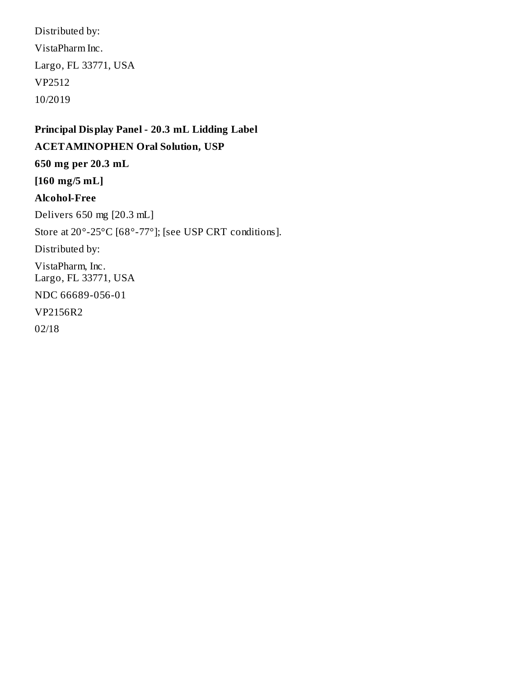Distributed by: VistaPharm Inc. Largo, FL 33771, USA VP2512 10/2019

# **Principal Display Panel - 20.3 mL Lidding Label ACETAMINOPHEN Oral Solution, USP 650 mg per 20.3 mL [160 mg/5 mL] Alcohol-Free** Delivers 650 mg [20.3 mL] Store at 20°-25°C [68°-77°]; [see USP CRT conditions]. Distributed by: VistaPharm, Inc. Largo, FL 33771, USA NDC 66689-056-01 VP2156R2 02/18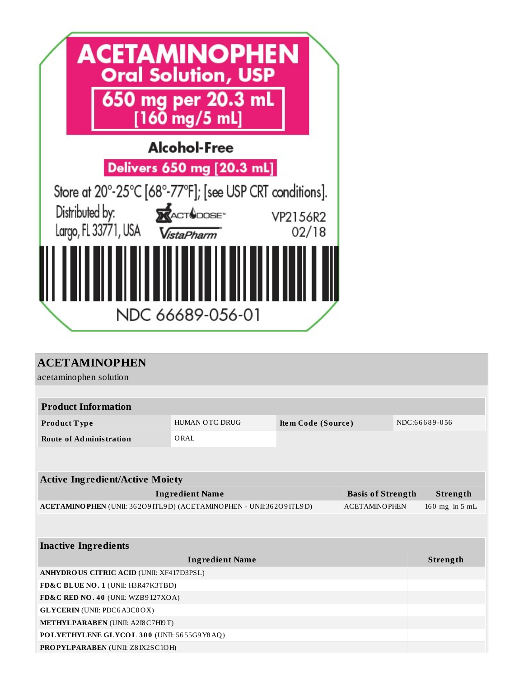

| <b>ACETAMINOPHEN</b>                                                   |                          |                    |  |  |               |  |  |  |  |
|------------------------------------------------------------------------|--------------------------|--------------------|--|--|---------------|--|--|--|--|
| acetaminophen solution                                                 |                          |                    |  |  |               |  |  |  |  |
|                                                                        |                          |                    |  |  |               |  |  |  |  |
| <b>Product Information</b>                                             |                          |                    |  |  |               |  |  |  |  |
| Product Type                                                           | <b>HUMAN OTC DRUG</b>    | Item Code (Source) |  |  | NDC:66689-056 |  |  |  |  |
| <b>Route of Administration</b>                                         | ORAL                     |                    |  |  |               |  |  |  |  |
|                                                                        |                          |                    |  |  |               |  |  |  |  |
|                                                                        |                          |                    |  |  |               |  |  |  |  |
| <b>Active Ingredient/Active Moiety</b>                                 |                          |                    |  |  |               |  |  |  |  |
| <b>Ingredient Name</b>                                                 | <b>Basis of Strength</b> | Strength           |  |  |               |  |  |  |  |
| ACETAMINO PHEN (UNII: 36209 ITL9D) (ACETAMINO PHEN - UNII:36209 ITL9D) | <b>ACETAMINOPHEN</b>     | 160 mg in 5 mL     |  |  |               |  |  |  |  |
|                                                                        |                          |                    |  |  |               |  |  |  |  |
|                                                                        |                          |                    |  |  |               |  |  |  |  |
| <b>Inactive Ingredients</b>                                            |                          |                    |  |  |               |  |  |  |  |
|                                                                        |                          | Strength           |  |  |               |  |  |  |  |
| <b>ANHYDROUS CITRIC ACID (UNII: XF417D3PSL)</b>                        |                          |                    |  |  |               |  |  |  |  |
| FD&C BLUE NO. 1 (UNII: H3R47K3TBD)                                     |                          |                    |  |  |               |  |  |  |  |
| FD&C RED NO. 40 (UNII: WZB9127XOA)                                     |                          |                    |  |  |               |  |  |  |  |
| <b>GLYCERIN</b> (UNII: PDC6A3C0OX)                                     |                          |                    |  |  |               |  |  |  |  |
| METHYLPARABEN (UNII: A2I8 C7H19T)                                      |                          |                    |  |  |               |  |  |  |  |
| POLYETHYLENE GLYCOL 300 (UNII: 5655G9Y8AQ)                             |                          |                    |  |  |               |  |  |  |  |
| <b>PROPYLPARABEN (UNII: Z8IX2SC1OH)</b>                                |                          |                    |  |  |               |  |  |  |  |